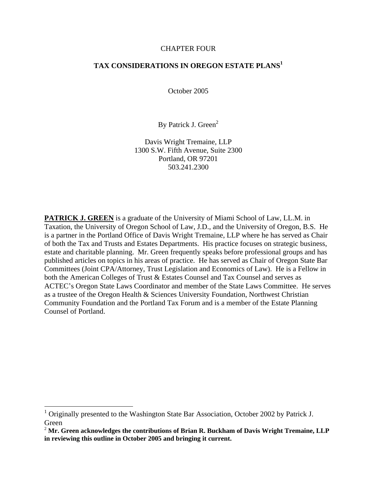#### CHAPTER FOUR

#### **TAX CONSIDERATIONS IN OREGON ESTATE PLANS<sup>1</sup>**

October 2005

By Patrick J. Green<sup>2</sup>

Davis Wright Tremaine, LLP 1300 S.W. Fifth Avenue, Suite 2300 Portland, OR 97201 503.241.2300

**PATRICK J. GREEN** is a graduate of the University of Miami School of Law, LL.M. in Taxation, the University of Oregon School of Law, J.D., and the University of Oregon, B.S. He is a partner in the Portland Office of Davis Wright Tremaine, LLP where he has served as Chair of both the Tax and Trusts and Estates Departments. His practice focuses on strategic business, estate and charitable planning. Mr. Green frequently speaks before professional groups and has published articles on topics in his areas of practice. He has served as Chair of Oregon State Bar Committees (Joint CPA/Attorney, Trust Legislation and Economics of Law). He is a Fellow in both the American Colleges of Trust & Estates Counsel and Tax Counsel and serves as ACTEC's Oregon State Laws Coordinator and member of the State Laws Committee. He serves as a trustee of the Oregon Health & Sciences University Foundation, Northwest Christian Community Foundation and the Portland Tax Forum and is a member of the Estate Planning Counsel of Portland.

 $1$  Originally presented to the Washington State Bar Association, October 2002 by Patrick J. Green **Green Green Green Green Green Green Green Green Green Green Green** 

<sup>2</sup> **Mr. Green acknowledges the contributions of Brian R. Buckham of Davis Wright Tremaine, LLP in reviewing this outline in October 2005 and bringing it current.**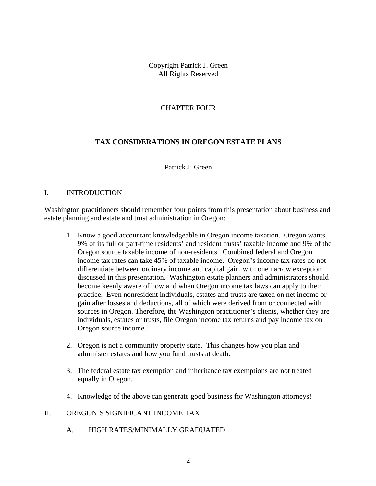Copyright Patrick J. Green All Rights Reserved

#### CHAPTER FOUR

#### **TAX CONSIDERATIONS IN OREGON ESTATE PLANS**

Patrick J. Green

#### I. INTRODUCTION

Washington practitioners should remember four points from this presentation about business and estate planning and estate and trust administration in Oregon:

- 1. Know a good accountant knowledgeable in Oregon income taxation. Oregon wants 9% of its full or part-time residents' and resident trusts' taxable income and 9% of the Oregon source taxable income of non-residents. Combined federal and Oregon income tax rates can take 45% of taxable income. Oregon's income tax rates do not differentiate between ordinary income and capital gain, with one narrow exception discussed in this presentation. Washington estate planners and administrators should become keenly aware of how and when Oregon income tax laws can apply to their practice. Even nonresident individuals, estates and trusts are taxed on net income or gain after losses and deductions, all of which were derived from or connected with sources in Oregon. Therefore, the Washington practitioner's clients, whether they are individuals, estates or trusts, file Oregon income tax returns and pay income tax on Oregon source income.
- 2. Oregon is not a community property state. This changes how you plan and administer estates and how you fund trusts at death.
- 3. The federal estate tax exemption and inheritance tax exemptions are not treated equally in Oregon.
- 4. Knowledge of the above can generate good business for Washington attorneys!<br>II. OREGON'S SIGNIFICANT INCOME TAX

A. HIGH RATES/MINIMALLY GRADUATED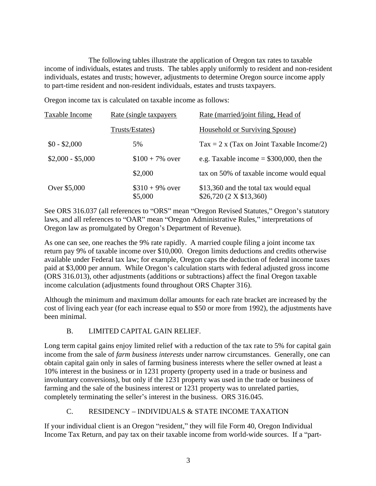The following tables illustrate the application of Oregon tax rates to taxable income of individuals, estates and trusts. The tables apply uniformly to resident and non-resident individuals, estates and trusts; however, adjustments to determine Oregon source income apply to part-time resident and non-resident individuals, estates and trusts taxpayers.

Oregon income tax is calculated on taxable income as follows:

| Taxable Income    | <u>Rate (single taxpayers</u> | Rate (married/joint filing, Head of                               |
|-------------------|-------------------------------|-------------------------------------------------------------------|
|                   | Trusts/Estates)               | <b>Household or Surviving Spouse)</b>                             |
| $$0 - $2,000$     | 5%                            | $\text{Tax} = 2 \times (\text{Tax on Joint Taxable Income}/2)$    |
| $$2,000 - $5,000$ | $$100 + 7\%$ over             | e.g. Taxable income $=$ \$300,000, then the                       |
|                   | \$2,000                       | tax on 50% of taxable income would equal                          |
| Over \$5,000      | $$310 + 9\%$ over<br>\$5,000  | \$13,360 and the total tax would equal<br>\$26,720 (2 X \$13,360) |

See ORS 316.037 (all references to "ORS" mean "Oregon Revised Statutes," Oregon's statutory laws, and all references to "OAR" mean "Oregon Administrative Rules," interpretations of

Oregon law as promulgated by Oregon's Department of Revenue).<br>As one can see, one reaches the 9% rate rapidly. A married couple filing a joint income tax return pay 9% of taxable income over \$10,000. Oregon limits deductions and credits otherwise available under Federal tax law; for example, Oregon caps the deduction of federal income taxes paid at \$3,000 per annum. While Oregon's calculation starts with federal adjusted gross income (ORS 316.013), other adjustments (additions or subtractions) affect the final Oregon taxable income calculation (adjustments found throughout ORS Chapter 316).

Although the minimum and maximum dollar amounts for each rate bracket are increased by the cost of living each year (for each increase equal to \$50 or more from 1992), the adjustments have been minimal.

# B. LIMITED CAPITAL GAIN RELIEF.

Long term capital gains enjoy limited relief with a reduction of the tax rate to 5% for capital gain income from the sale of *farm business interests* under narrow circumstances. Generally, one can obtain capital gain only in sales of farming business interests where the seller owned at least a 10% interest in the business or in 1231 property (property used in a trade or business and involuntary conversions), but only if the 1231 property was used in the trade or business of farming and the sale of the business interest or 1231 property was to unrelated parties, completely terminating the seller's interest in the business. ORS 316.045.

# C. RESIDENCY – INDIVIDUALS & STATE INCOME TAXATION

If your individual client is an Oregon "resident," they will file Form 40, Oregon Individual Income Tax Return, and pay tax on their taxable income from world-wide sources. If a "part-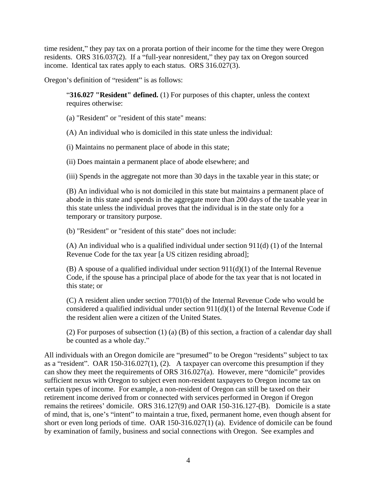time resident," they pay tax on a prorata portion of their income for the time they were Oregon residents. ORS  $316.037(2)$ . If a "full-year nonresident," they pay tax on Oregon sourced income. Identical tax rates apply to each status. ORS 316.027(3).

Oregon's definition of "resident" is as follows:

**316.027 "Resident" defined.** (1) For purposes of this chapter, unless the context requires otherwise:

(a) "Resident" or "resident of this state" means:

(A) An individual who is domiciled in this state unless the individual:

(i) Maintains no permanent place of abode in this state;

(ii) Does maintain a permanent place of abode elsewhere; and

(iii) Spends in the aggregate not more than 30 days in the taxable year in this state; or

(B) An individual who is not domiciled in this state but maintains a permanent place of abode in this state and spends in the aggregate more than 200 days of the taxable year in this state unless the individual proves that the individual is in the state only for a temporary or transitory purpose.

(b) "Resident" or "resident of this state" does not include:

(A) An individual who is a qualified individual under section  $911(d)$  (1) of the Internal Revenue Code for the tax year [a US citizen residing abroad];

 $(B)$  A spouse of a qualified individual under section  $911(d)(1)$  of the Internal Revenue Code, if the spouse has a principal place of abode for the tax year that is not located in this state; or

(C) A resident alien under section 7701(b) of the Internal Revenue Code who would be considered a qualified individual under section 911(d)(1) of the Internal Revenue Code if the resident alien were a citizen of the United States.

(2) For purposes of subsection (1) (a) (B) of this section, a fraction of a calendar day shall be counted as a whole day.

All individuals with an Oregon domicile are "presumed" to be Oregon "residents" subject to tax as a "resident". OAR 150-316.027(1), (2). A taxpayer can overcome this presumption if they can show they meet the requirements of ORS  $316.027(a)$ . However, mere "domicile" provides sufficient nexus with Oregon to subject even non-resident taxpayers to Oregon income tax on certain types of income. For example, a non-resident of Oregon can still be taxed on their retirement income derived from or connected with services performed in Oregon if Oregon remains the retirees' domicile. ORS 316.127(9) and OAR 150-316.127-(B). Domicile is a state of mind, that is, one's "intent" to maintain a true, fixed, permanent home, even though absent for short or even long periods of time. OAR 150-316.027(1) (a). Evidence of domicile can be found by examination of family, business and social connections with Oregon. See examples and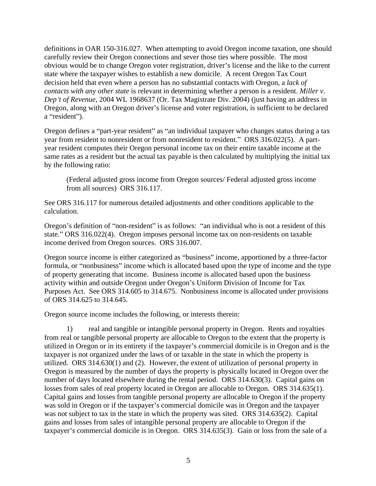definitions in OAR 150-316.027. When attempting to avoid Oregon income taxation, one should carefully review their Oregon connections and sever those ties where possible. The most obvious would be to change Oregon voter registration, driver's license and the like to the current state where the taxpayer wishes to establish a new domicile. A recent Oregon Tax Court decision held that even where a person has no substantial contacts with Oregon, a *lack of contacts with any other state* is relevant in determining whether a person is a resident. *Miller v. Dep t of Revenue*, 2004 WL 1968637 (Or. Tax Magistrate Div. 2004) (just having an address in Oregon, along with an Oregon driver's license and voter registration, is sufficient to be declared a "resident").

Oregon defines a "part-year resident" as "an individual taxpayer who changes status during a tax year from resident to nonresident or from nonresident to resident." ORS 316.022(5). A partyear resident computes their Oregon personal income tax on their entire taxable income at the same rates as a resident but the actual tax payable is then calculated by multiplying the initial tax by the following ratio:

(Federal adjusted gross income from Oregon sources/ Federal adjusted gross income from all sources) ORS 316.117.

See ORS 316.117 for numerous detailed adjustments and other conditions applicable to the calculation.

Oregon's definition of "non-resident" is as follows: "an individual who is not a resident of this state." ORS 316.022(4). Oregon imposes personal income tax on non-residents on taxable income derived from Oregon sources. ORS 316.007.

Oregon source income is either categorized as "business" income, apportioned by a three-factor formula, or "nonbusiness" income which is allocated based upon the type of income and the type of property generating that income. Business income is allocated based upon the business activity within and outside Oregon under Oregon's Uniform Division of Income for Tax Purposes Act. See ORS 314.605 to 314.675. Nonbusiness income is allocated under provisions of ORS 314.625 to 314.645.

Oregon source income includes the following, or interests therein:

1) real and tangible or intangible personal property in Oregon. Rents and royalties from real or tangible personal property are allocable to Oregon to the extent that the property is utilized in Oregon or in its entirety if the taxpayer's commercial domicile is in Oregon and is the taxpayer is not organized under the laws of or taxable in the state in which the property is utilized. ORS 314.630(1) and (2). However, the extent of utilization of personal property in Oregon is measured by the number of days the property is physically located in Oregon over the number of days located elsewhere during the rental period. ORS 314.630(3). Capital gains on losses from sales of real property located in Oregon are allocable to Oregon. ORS 314.635(1). Capital gains and losses from tangible personal property are allocable to Oregon if the property was sold in Oregon or if the taxpayer's commercial domicile was in Oregon and the taxpayer was not subject to tax in the state in which the property was sited. ORS 314.635(2). Capital gains and losses from sales of intangible personal property are allocable to Oregon if the taxpayer's commercial domicile is in Oregon. ORS  $314.635(3)$ . Gain or loss from the sale of a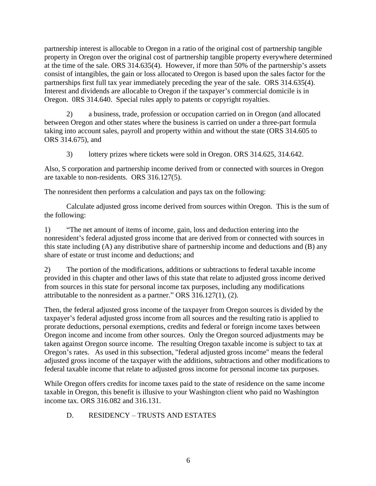partnership interest is allocable to Oregon in a ratio of the original cost of partnership tangible property in Oregon over the original cost of partnership tangible property everywhere determined at the time of the sale. ORS  $314.635(4)$ . However, if more than 50% of the partnership's assets consist of intangibles, the gain or loss allocated to Oregon is based upon the sales factor for the partnerships first full tax year immediately preceding the year of the sale. ORS 314.635(4). Interest and dividends are allocable to Oregon if the taxpayer's commercial domicile is in Oregon. 0RS 314.640. Special rules apply to patents or copyright royalties.

2) a business, trade, profession or occupation carried on in Oregon (and allocated between Oregon and other states where the business is carried on under a three-part formula taking into account sales, payroll and property within and without the state (ORS 314.605 to ORS 314.675), and

3) lottery prizes where tickets were sold in Oregon. ORS 314.625, 314.642.

Also, S corporation and partnership income derived from or connected with sources in Oregon are taxable to non-residents. ORS 316.127(5).

The nonresident then performs a calculation and pays tax on the following:

Calculate adjusted gross income derived from sources within Oregon. This is the sum of the following:

1) The net amount of items of income, gain, loss and deduction entering into the nonresident's federal adjusted gross income that are derived from or connected with sources in this state including (A) any distributive share of partnership income and deductions and (B) any share of estate or trust income and deductions; and

2) The portion of the modifications, additions or subtractions to federal taxable income provided in this chapter and other laws of this state that relate to adjusted gross income derived from sources in this state for personal income tax purposes, including any modifications attributable to the nonresident as a partner." ORS  $316.127(1)$ , (2).

Then, the federal adjusted gross income of the taxpayer from Oregon sources is divided by the taxpayer's federal adjusted gross income from all sources and the resulting ratio is applied to prorate deductions, personal exemptions, credits and federal or foreign income taxes between Oregon income and income from other sources. Only the Oregon sourced adjustments may be taken against Oregon source income. The resulting Oregon taxable income is subject to tax at Oregon's rates. As used in this subsection, "federal adjusted gross income" means the federal adjusted gross income of the taxpayer with the additions, subtractions and other modifications to federal taxable income that relate to adjusted gross income for personal income tax purposes.

While Oregon offers credits for income taxes paid to the state of residence on the same income taxable in Oregon, this benefit is illusive to your Washington client who paid no Washington income tax. ORS 316.082 and 316.131.

# D. RESIDENCY - TRUSTS AND ESTATES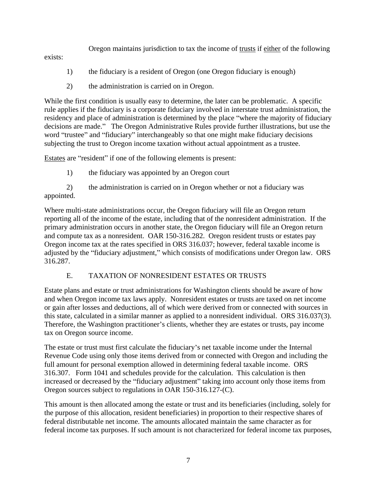Oregon maintains jurisdiction to tax the income of trusts if either of the following

exists:

- 1) the fiduciary is a resident of Oregon (one Oregon fiduciary is enough)
- 2) the administration is carried on in Oregon.

While the first condition is usually easy to determine, the later can be problematic. A specific rule applies if the fiduciary is a corporate fiduciary involved in interstate trust administration, the residency and place of administration is determined by the place "where the majority of fiduciary decisions are made." The Oregon Administrative Rules provide further illustrations, but use the word "trustee" and "fiduciary" interchangeably so that one might make fiduciary decisions subjecting the trust to Oregon income taxation without actual appointment as a trustee.

Estates are "resident" if one of the following elements is present:

1) the fiduciary was appointed by an Oregon court

2) the administration is carried on in Oregon whether or not a fiduciary was appointed.

Where multi-state administrations occur, the Oregon fiduciary will file an Oregon return reporting all of the income of the estate, including that of the nonresident administration. If the primary administration occurs in another state, the Oregon fiduciary will file an Oregon return and compute tax as a nonresident. OAR 150-316.282. Oregon resident trusts or estates pay Oregon income tax at the rates specified in ORS 316.037; however, federal taxable income is adjusted by the "fiduciary adjustment," which consists of modifications under Oregon law. ORS 316.287.

# E. TAXATION OF NONRESIDENT ESTATES OR TRUSTS

Estate plans and estate or trust administrations for Washington clients should be aware of how and when Oregon income tax laws apply. Nonresident estates or trusts are taxed on net income or gain after losses and deductions, all of which were derived from or connected with sources in this state, calculated in a similar manner as applied to a nonresident individual. ORS 316.037(3). Therefore, the Washington practitioner's clients, whether they are estates or trusts, pay income tax on Oregon source income.<br>The estate or trust must first calculate the fiduciary's net taxable income under the Internal

Revenue Code using only those items derived from or connected with Oregon and including the full amount for personal exemption allowed in determining federal taxable income. ORS 316.307. Form 1041 and schedules provide for the calculation. This calculation is then increased or decreased by the "fiduciary adjustment" taking into account only those items from Oregon sources subject to regulations in OAR 150-316.127-(C). This amount is then allocated among the estate or trust and its beneficiaries (including, solely for

the purpose of this allocation, resident beneficiaries) in proportion to their respective shares of federal distributable net income. The amounts allocated maintain the same character as for federal income tax purposes. If such amount is not characterized for federal income tax purposes,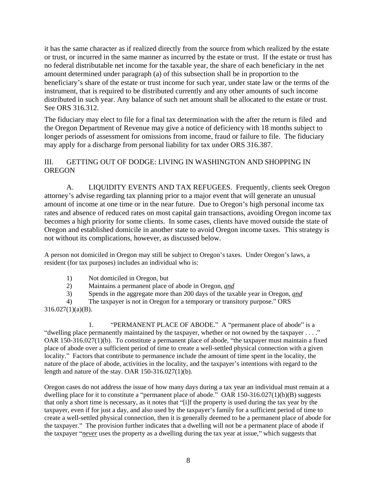it has the same character as if realized directly from the source from which realized by the estate or trust, or incurred in the same manner as incurred by the estate or trust. If the estate or trust has no federal distributable net income for the taxable year, the share of each beneficiary in the net amount determined under paragraph (a) of this subsection shall be in proportion to the beneficiary's share of the estate or trust income for such year, under state law or the terms of the instrument, that is required to be distributed currently and any other amounts of such income distributed in such year. Any balance of such net amount shall be allocated to the estate or trust. See ORS 316.312.

The fiduciary may elect to file for a final tax determination with the after the return is filed and the Oregon Department of Revenue may give a notice of deficiency with 18 months subject to longer periods of assessment for omissions from income, fraud or failure to file. The fiduciary may apply for a discharge from personal liability for tax under ORS 316.387.

#### III. GETTING OUT OF DODGE: LIVING IN WASHINGTON AND SHOPPING IN OREGON

A. LIQUIDITY EVENTS AND TAX REFUGEES. Frequently, clients seek Oregon attorney's advise regarding tax planning prior to a major event that will generate an unusual amount of income at one time or in the near future. Due to Oregon's high personal income tax rates and absence of reduced rates on most capital gain transactions, avoiding Oregon income tax becomes a high priority for some clients. In some cases, clients have moved outside the state of Oregon and established domicile in another state to avoid Oregon income taxes. This strategy is not without its complications, however, as discussed below.

A person not domiciled in Oregon may still be subject to Oregon's taxes. Under Oregon's laws, a resident (for tax purposes) includes an individual who is:

- 1) Not domiciled in Oregon, but
- 2) Maintains a permanent place of abode in Oregon, *and*
- 3) Spends in the aggregate more than 200 days of the taxable year in Oregon, *and*

4) The taxpayer is not in Oregon for a temporary or transitory purpose." ORS  $316.027(1)(a)(B)$ .

1. "PERMANENT PLACE OF ABODE." A "permanent place of abode" is a "dwelling place permanently maintained by the taxpayer, whether or not owned by the taxpayer  $\dots$ ." OAR 150-316.027(1)(b). To constitute a permanent place of abode, "the taxpayer must maintain a fixed place of abode over a sufficient period of time to create a well-settled physical connection with a given locality." Factors that contribute to permanence include the amount of time spent in the locality, the nature of the place of abode, activities in the locality, and the taxpayer's intentions with regard to the length and nature of the stay. OAR 150-316.027(1)(b).

Oregon cases do not address the issue of how many days during a tax year an individual must remain at a dwelling place for it to constitute a "permanent place of abode." OAR 150-316.027(1)(b)(B) suggests that only a short time is necessary, as it notes that "[i]f the property is used during the tax year by the taxpayer, even if for just a day, and also used by the taxpayer s family for a sufficient period of time to create a well-settled physical connection, then it is generally deemed to be a permanent place of abode for the taxpayer." The provision further indicates that a dwelling will not be a permanent place of abode if the taxpayer "*never* uses the property as a dwelling during the tax year at issue," which suggests that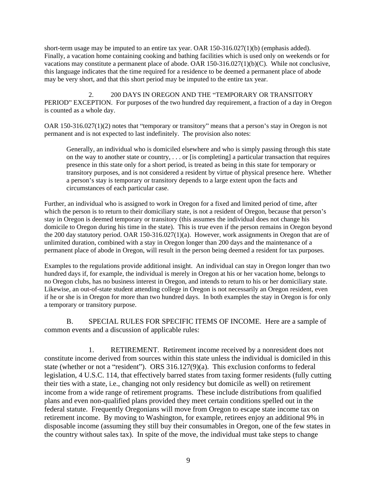short-term usage may be imputed to an entire tax year. OAR 150-316.027(1)(b) (emphasis added). Finally, a vacation home containing cooking and bathing facilities which is used only on weekends or for vacations may constitute a permanent place of abode. OAR 150-316.027(1)(b)(C). While not conclusive, this language indicates that the time required for a residence to be deemed a permanent place of abode may be very short, and that this short period may be imputed to the entire tax year.

2. 200 DAYS IN OREGON AND THE "TEMPORARY OR TRANSITORY PERIOD" EXCEPTION. For purposes of the two hundred day requirement, a fraction of a day in Oregon is counted as a whole day.

OAR  $150-316.027(1)(2)$  notes that "temporary or transitory" means that a person's stay in Oregon is not permanent and is not expected to last indefinitely. The provision also notes:

Generally, an individual who is domiciled elsewhere and who is simply passing through this state on the way to another state or country, . . . or [is completing] a particular transaction that requires presence in this state only for a short period, is treated as being in this state for temporary or transitory purposes, and is not considered a resident by virtue of physical presence here. Whether a person's stay is temporary or transitory depends to a large extent upon the facts and circumstances of each particular case.

Further, an individual who is assigned to work in Oregon for a fixed and limited period of time, after which the person is to return to their domiciliary state, is not a resident of Oregon, because that person's stay in Oregon is deemed temporary or transitory (this assumes the individual does not change his domicile to Oregon during his time in the state). This is true even if the person remains in Oregon beyond the 200 day statutory period. OAR 150-316.027(1)(a). However, work assignments in Oregon that are of unlimited duration, combined with a stay in Oregon longer than 200 days and the maintenance of a permanent place of abode in Oregon, will result in the person being deemed a resident for tax purposes.

Examples to the regulations provide additional insight. An individual can stay in Oregon longer than two hundred days if, for example, the individual is merely in Oregon at his or her vacation home, belongs to no Oregon clubs, has no business interest in Oregon, and intends to return to his or her domiciliary state. Likewise, an out-of-state student attending college in Oregon is not necessarily an Oregon resident, even if he or she is in Oregon for more than two hundred days. In both examples the stay in Oregon is for only a temporary or transitory purpose.

B. SPECIAL RULES FOR SPECIFIC ITEMS OF INCOME. Here are a sample of common events and a discussion of applicable rules:

1. RETIREMENT. Retirement income received by a nonresident does not constitute income derived from sources within this state unless the individual is domiciled in this state (whether or not a "resident"). ORS  $316.127(9)(a)$ . This exclusion conforms to federal legislation, 4 U.S.C. 114, that effectively barred states from taxing former residents (fully cutting their ties with a state, i.e., changing not only residency but domicile as well) on retirement income from a wide range of retirement programs. These include distributions from qualified plans and even non-qualified plans provided they meet certain conditions spelled out in the federal statute. Frequently Oregonians will move from Oregon to escape state income tax on retirement income. By moving to Washington, for example, retirees enjoy an additional 9% in disposable income (assuming they still buy their consumables in Oregon, one of the few states in the country without sales tax). In spite of the move, the individual must take steps to change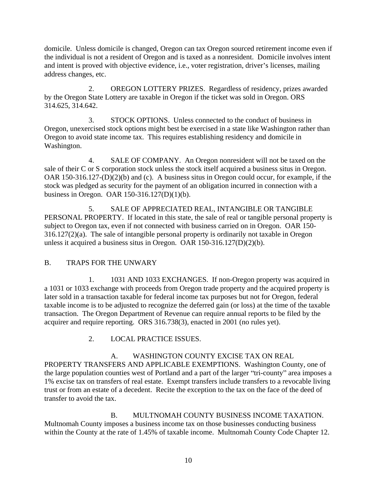domicile. Unless domicile is changed, Oregon can tax Oregon sourced retirement income even if the individual is not a resident of Oregon and is taxed as a nonresident. Domicile involves intent and intent is proved with objective evidence, i.e., voter registration, driver's licenses, mailing address changes, etc.

2. OREGON LOTTERY PRIZES. Regardless of residency, prizes awarded by the Oregon State Lottery are taxable in Oregon if the ticket was sold in Oregon. ORS

314.625, 314.642. 3. STOCK OPTIONS. Unless connected to the conduct of business in Oregon, unexercised stock options might best be exercised in a state like Washington rather than Oregon to avoid state income tax. This requires establishing residency and domicile in Washington.

4. SALE OF COMPANY. An Oregon nonresident will not be taxed on the sale of their C or S corporation stock unless the stock itself acquired a business situs in Oregon. OAR 150-316.127-(D)(2)(b) and (c). A business situs in Oregon could occur, for example, if the stock was pledged as security for the payment of an obligation incurred in connection with a business in Oregon. OAR 150-316.127(D)(1)(b).

5. SALE OF APPRECIATED REAL, INTANGIBLE OR TANGIBLE PERSONAL PROPERTY. If located in this state, the sale of real or tangible personal property is subject to Oregon tax, even if not connected with business carried on in Oregon. OAR 150- 316.127(2)(a). The sale of intangible personal property is ordinarily not taxable in Oregon unless it acquired a business situs in Oregon. OAR 150-316.127(D)(2)(b).

# B. TRAPS FOR THE UNWARY

1. 1031 AND 1033 EXCHANGES. If non-Oregon property was acquired in a 1031 or 1033 exchange with proceeds from Oregon trade property and the acquired property is later sold in a transaction taxable for federal income tax purposes but not for Oregon, federal taxable income is to be adjusted to recognize the deferred gain (or loss) at the time of the taxable transaction. The Oregon Department of Revenue can require annual reports to be filed by the acquirer and require reporting. ORS 316.738(3), enacted in 2001 (no rules yet).

2. LOCAL PRACTICE ISSUES.

A. WASHINGTON COUNTY EXCISE TAX ON REAL PROPERTY TRANSFERS AND APPLICABLE EXEMPTIONS. Washington County, one of the large population counties west of Portland and a part of the larger "tri-county" area imposes a 1% excise tax on transfers of real estate. Exempt transfers include transfers to a revocable living trust or from an estate of a decedent. Recite the exception to the tax on the face of the deed of transfer to avoid the tax.

B. MULTNOMAH COUNTY BUSINESS INCOME TAXATION.<br>Multnomah County imposes a business income tax on those businesses conducting business within the County at the rate of 1.45% of taxable income. Multnomah County Code Chapter 12.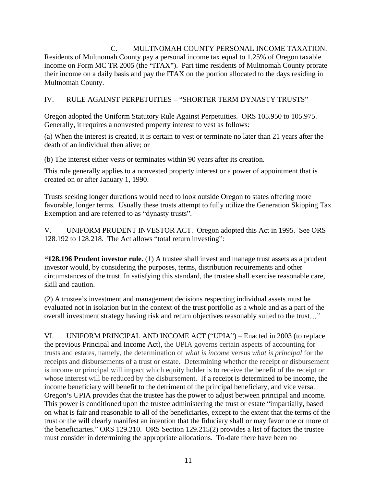C. MULTNOMAH COUNTY PERSONAL INCOME TAXATION. Residents of Multnomah County pay a personal income tax equal to 1.25% of Oregon taxable income on Form MC TR 2005 (the "ITAX"). Part time residents of Multnomah County prorate their income on a daily basis and pay the ITAX on the portion allocated to the days residing in Multnomah County.

# IV. RULE AGAINST PERPETUITIES – "SHORTER TERM DYNASTY TRUSTS"

Oregon adopted the Uniform Statutory Rule Against Perpetuities. ORS 105.950 to 105.975. Generally, it requires a nonvested property interest to vest as follows:

(a) When the interest is created, it is certain to vest or terminate no later than 21 years after the death of an individual then alive; or

(b) The interest either vests or terminates within 90 years after its creation.

This rule generally applies to a nonvested property interest or a power of appointment that is created on or after January 1, 1990.

Trusts seeking longer durations would need to look outside Oregon to states offering more favorable, longer terms. Usually these trusts attempt to fully utilize the Generation Skipping Tax Exemption and are referred to as "dynasty trusts".

V. UNIFORM PRUDENT INVESTOR ACT. Oregon adopted this Act in 1995. See ORS 128.192 to 128.218. The Act allows "total return investing":

**128.196 Prudent investor rule.** (1) A trustee shall invest and manage trust assets as a prudent investor would, by considering the purposes, terms, distribution requirements and other circumstances of the trust. In satisfying this standard, the trustee shall exercise reasonable care, skill and caution.

(2) A trustee's investment and management decisions respecting individual assets must be evaluated not in isolation but in the context of the trust portfolio as a whole and as a part of the overall investment strategy having risk and return objectives reasonably suited to the trust..."

VI. UNIFORM PRINCIPAL AND INCOME ACT ("UPIA") – Enacted in 2003 (to replace the previous Principal and Income Act), the UPIA governs certain aspects of accounting for trusts and estates, namely, the determination of *what is income* versus *what is principal* for the receipts and disbursements of a trust or estate. Determining whether the receipt or disbursement is income or principal will impact which equity holder is to receive the benefit of the receipt or whose interest will be reduced by the disbursement. If a receipt is determined to be income, the income beneficiary will benefit to the detriment of the principal beneficiary, and vice versa. Oregon's UPIA provides that the trustee has the power to adjust between principal and income. This power is conditioned upon the trustee administering the trust or estate "impartially, based on what is fair and reasonable to all of the beneficiaries, except to the extent that the terms of the trust or the will clearly manifest an intention that the fiduciary shall or may favor one or more of the beneficiaries." ORS 129.210. ORS Section 129.215(2) provides a list of factors the trustee must consider in determining the appropriate allocations. To-date there have been no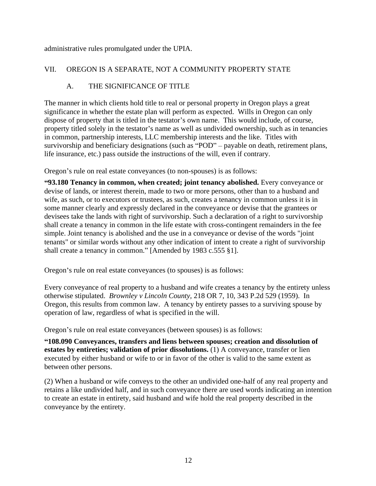administrative rules promulgated under the UPIA.

### VII. OREGON IS A SEPARATE, NOT A COMMUNITY PROPERTY STATE

### A. THE SIGNIFICANCE OF TITLE

The manner in which clients hold title to real or personal property in Oregon plays a great significance in whether the estate plan will perform as expected. Wills in Oregon can only dispose of property that is titled in the testator's own name. This would include, of course, property titled solely in the testator's name as well as undivided ownership, such as in tenancies in common, partnership interests, LLC membership interests and the like. Titles with survivorship and beneficiary designations (such as "POD"  $-$  payable on death, retirement plans, life insurance, etc.) pass outside the instructions of the will, even if contrary.

Oregon's rule on real estate conveyances (to non-spouses) is as follows:

**93.180 Tenancy in common, when created; joint tenancy abolished.** Every conveyance or devise of lands, or interest therein, made to two or more persons, other than to a husband and wife, as such, or to executors or trustees, as such, creates a tenancy in common unless it is in some manner clearly and expressly declared in the conveyance or devise that the grantees or devisees take the lands with right of survivorship. Such a declaration of a right to survivorship shall create a tenancy in common in the life estate with cross-contingent remainders in the fee simple. Joint tenancy is abolished and the use in a conveyance or devise of the words "joint tenants" or similar words without any other indication of intent to create a right of survivorship shall create a tenancy in common." [Amended by 1983 c.555 §1].

Oregon's rule on real estate conveyances (to spouses) is as follows:

Every conveyance of real property to a husband and wife creates a tenancy by the entirety unless otherwise stipulated. *Brownley v Lincoln County,* 218 OR 7, 10, 343 P.2d 529 (1959). In Oregon, this results from common law. A tenancy by entirety passes to a surviving spouse by operation of law, regardless of what is specified in the will.

Oregon's rule on real estate conveyances (between spouses) is as follows:

**108.090 Conveyances, transfers and liens between spouses; creation and dissolution of estates by entireties; validation of prior dissolutions.** (1) A conveyance, transfer or lien executed by either husband or wife to or in favor of the other is valid to the same extent as between other persons.

(2) When a husband or wife conveys to the other an undivided one-half of any real property and retains a like undivided half, and in such conveyance there are used words indicating an intention to create an estate in entirety, said husband and wife hold the real property described in the conveyance by the entirety.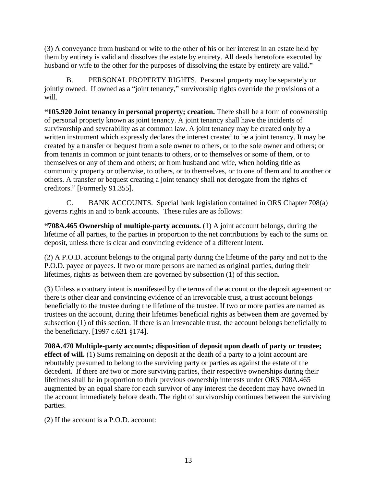(3) A conveyance from husband or wife to the other of his or her interest in an estate held by them by entirety is valid and dissolves the estate by entirety. All deeds heretofore executed by husband or wife to the other for the purposes of dissolving the estate by entirety are valid."

B. PERSONAL PROPERTY RIGHTS. Personal property may be separately or jointly owned. If owned as a "joint tenancy," survivorship rights override the provisions of a will.

**105.920 Joint tenancy in personal property; creation.** There shall be a form of coownership of personal property known as joint tenancy. A joint tenancy shall have the incidents of survivorship and severability as at common law. A joint tenancy may be created only by a written instrument which expressly declares the interest created to be a joint tenancy. It may be created by a transfer or bequest from a sole owner to others, or to the sole owner and others; or from tenants in common or joint tenants to others, or to themselves or some of them, or to themselves or any of them and others; or from husband and wife, when holding title as community property or otherwise, to others, or to themselves, or to one of them and to another or others. A transfer or bequest creating a joint tenancy shall not derogate from the rights of creditors." [Formerly 91.355].

C. BANK ACCOUNTS. Special bank legislation contained in ORS Chapter 708(a) governs rights in and to bank accounts. These rules are as follows:

**708A.465 Ownership of multiple-party accounts.** (1) A joint account belongs, during the lifetime of all parties, to the parties in proportion to the net contributions by each to the sums on deposit, unless there is clear and convincing evidence of a different intent.

(2) A P.O.D. account belongs to the original party during the lifetime of the party and not to the P.O.D. payee or payees. If two or more persons are named as original parties, during their lifetimes, rights as between them are governed by subsection (1) of this section.

(3) Unless a contrary intent is manifested by the terms of the account or the deposit agreement or there is other clear and convincing evidence of an irrevocable trust, a trust account belongs beneficially to the trustee during the lifetime of the trustee. If two or more parties are named as trustees on the account, during their lifetimes beneficial rights as between them are governed by subsection (1) of this section. If there is an irrevocable trust, the account belongs beneficially to the beneficiary. [1997 c.631 §174].

**708A.470 Multiple-party accounts; disposition of deposit upon death of party or trustee; effect of will.** (1) Sums remaining on deposit at the death of a party to a joint account are rebuttably presumed to belong to the surviving party or parties as against the estate of the decedent. If there are two or more surviving parties, their respective ownerships during their lifetimes shall be in proportion to their previous ownership interests under ORS 708A.465 augmented by an equal share for each survivor of any interest the decedent may have owned in the account immediately before death. The right of survivorship continues between the surviving parties.

(2) If the account is a P.O.D. account: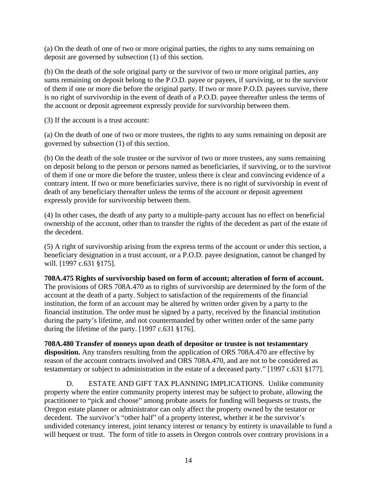(a) On the death of one of two or more original parties, the rights to any sums remaining on deposit are governed by subsection (1) of this section.

(b) On the death of the sole original party or the survivor of two or more original parties, any sums remaining on deposit belong to the P.O.D. payee or payees, if surviving, or to the survivor of them if one or more die before the original party. If two or more P.O.D. payees survive, there is no right of survivorship in the event of death of a P.O.D. payee thereafter unless the terms of the account or deposit agreement expressly provide for survivorship between them.

(3) If the account is a trust account:

(a) On the death of one of two or more trustees, the rights to any sums remaining on deposit are governed by subsection (1) of this section.

(b) On the death of the sole trustee or the survivor of two or more trustees, any sums remaining on deposit belong to the person or persons named as beneficiaries, if surviving, or to the survivor of them if one or more die before the trustee, unless there is clear and convincing evidence of a contrary intent. If two or more beneficiaries survive, there is no right of survivorship in event of death of any beneficiary thereafter unless the terms of the account or deposit agreement expressly provide for survivorship between them.

(4) In other cases, the death of any party to a multiple-party account has no effect on beneficial ownership of the account, other than to transfer the rights of the decedent as part of the estate of the decedent.

(5) A right of survivorship arising from the express terms of the account or under this section, a beneficiary designation in a trust account, or a P.O.D. payee designation, cannot be changed by will. [1997 c.631 §175].

#### **708A.475 Rights of survivorship based on form of account; alteration of form of account.**

The provisions of ORS 708A.470 as to rights of survivorship are determined by the form of the account at the death of a party. Subject to satisfaction of the requirements of the financial institution, the form of an account may be altered by written order given by a party to the financial institution. The order must be signed by a party, received by the financial institution during the party's lifetime, and not countermanded by other written order of the same party during the lifetime of the party. [1997 c.631 §176].

**708A.480 Transfer of moneys upon death of depositor or trustee is not testamentary disposition.** Any transfers resulting from the application of ORS 708A.470 are effective by reason of the account contracts involved and ORS 708A.470, and are not to be considered as testamentary or subject to administration in the estate of a deceased party." [1997 c.631 §177].

D. ESTATE AND GIFT TAX PLANNING IMPLICATIONS. Unlike community property where the entire community property interest may be subject to probate, allowing the practitioner to "pick and choose" among probate assets for funding will bequests or trusts, the Oregon estate planner or administrator can only affect the property owned by the testator or decedent. The survivor's "other half" of a property interest, whether it be the survivor's undivided cotenancy interest, joint tenancy interest or tenancy by entirety is unavailable to fund a will bequest or trust. The form of title to assets in Oregon controls over contrary provisions in a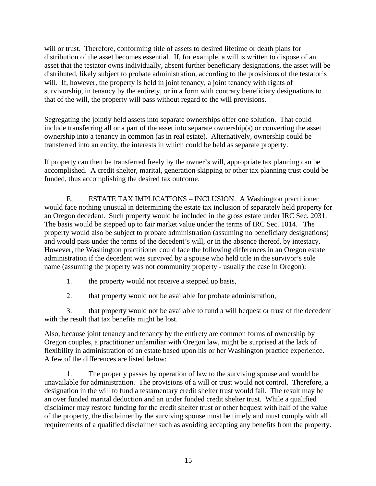will or trust. Therefore, conforming title of assets to desired lifetime or death plans for distribution of the asset becomes essential. If, for example, a will is written to dispose of an asset that the testator owns individually, absent further beneficiary designations, the asset will be distributed, likely subject to probate administration, according to the provisions of the testator's will. If, however, the property is held in joint tenancy, a joint tenancy with rights of survivorship, in tenancy by the entirety, or in a form with contrary beneficiary designations to that of the will, the property will pass without regard to the will provisions. Segregating the jointly held assets into separate ownerships offer one solution. That could

include transferring all or a part of the asset into separate ownership(s) or converting the asset ownership into a tenancy in common (as in real estate). Alternatively, ownership could be transferred into an entity, the interests in which could be held as separate property.

If property can then be transferred freely by the owner's will, appropriate tax planning can be accomplished. A credit shelter, marital, generation skipping or other tax planning trust could be funded, thus accomplishing the desired tax outcome.

E. ESTATE TAX IMPLICATIONS – INCLUSION. A Washington practitioner would face nothing unusual in determining the estate tax inclusion of separately held property for an Oregon decedent. Such property would be included in the gross estate under IRC Sec. 2031. The basis would be stepped up to fair market value under the terms of IRC Sec. 1014. The property would also be subject to probate administration (assuming no beneficiary designations) and would pass under the terms of the decedent's will, or in the absence thereof, by intestacy. However, the Washington practitioner could face the following differences in an Oregon estate administration if the decedent was survived by a spouse who held title in the survivor's sole name (assuming the property was not community property - usually the case in Oregon):

1. the property would not receive a stepped up basis,

2. that property would not be available for probate administration,

3. that property would not be available to fund a will bequest or trust of the decedent with the result that tax benefits might be lost.

Also, because joint tenancy and tenancy by the entirety are common forms of ownership by Oregon couples, a practitioner unfamiliar with Oregon law, might be surprised at the lack of flexibility in administration of an estate based upon his or her Washington practice experience. A few of the differences are listed below:

1. The property passes by operation of law to the surviving spouse and would be unavailable for administration. The provisions of a will or trust would not control. Therefore, a designation in the will to fund a testamentary credit shelter trust would fail. The result may be an over funded marital deduction and an under funded credit shelter trust. While a qualified disclaimer may restore funding for the credit shelter trust or other bequest with half of the value of the property, the disclaimer by the surviving spouse must be timely and must comply with all requirements of a qualified disclaimer such as avoiding accepting any benefits from the property.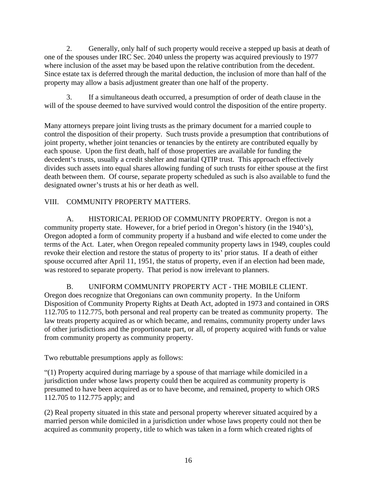2. Generally, only half of such property would receive a stepped up basis at death of one of the spouses under IRC Sec. 2040 unless the property was acquired previously to 1977 where inclusion of the asset may be based upon the relative contribution from the decedent. Since estate tax is deferred through the marital deduction, the inclusion of more than half of the property may allow a basis adjustment greater than one half of the property.

3. If a simultaneous death occurred, a presumption of order of death clause in the will of the spouse deemed to have survived would control the disposition of the entire property.

Many attorneys prepare joint living trusts as the primary document for a married couple to control the disposition of their property. Such trusts provide a presumption that contributions of joint property, whether joint tenancies or tenancies by the entirety are contributed equally by each spouse. Upon the first death, half of those properties are available for funding the decedent's trusts, usually a credit shelter and marital QTIP trust. This approach effectively divides such assets into equal shares allowing funding of such trusts for either spouse at the first death between them. Of course, separate property scheduled as such is also available to fund the designated owner's trusts at his or her death as well.

VIII. COMMUNITY PROPERTY MATTERS.<br>A. HISTORICAL PERIOD OF COMMUNITY PROPERTY. Oregon is not a community property state. However, for a brief period in Oregon's history (in the 1940's), Oregon adopted a form of community property if a husband and wife elected to come under the terms of the Act. Later, when Oregon repealed community property laws in 1949, couples could revoke their election and restore the status of property to its' prior status. If a death of either spouse occurred after April 11, 1951, the status of property, even if an election had been made, was restored to separate property. That period is now irrelevant to planners.

# B. UNIFORM COMMUNITY PROPERTY ACT - THE MOBILE CLIENT. Oregon does recognize that Oregonians can own community property. In the Uniform

Disposition of Community Property Rights at Death Act, adopted in 1973 and contained in ORS 112.705 to 112.775, both personal and real property can be treated as community property. The law treats property acquired as or which became, and remains, community property under laws of other jurisdictions and the proportionate part, or all, of property acquired with funds or value from community property as community property.

Two rebuttable presumptions apply as follows:

(1) Property acquired during marriage by a spouse of that marriage while domiciled in a jurisdiction under whose laws property could then be acquired as community property is presumed to have been acquired as or to have become, and remained, property to which ORS 112.705 to 112.775 apply; and

(2) Real property situated in this state and personal property wherever situated acquired by a married person while domiciled in a jurisdiction under whose laws property could not then be acquired as community property, title to which was taken in a form which created rights of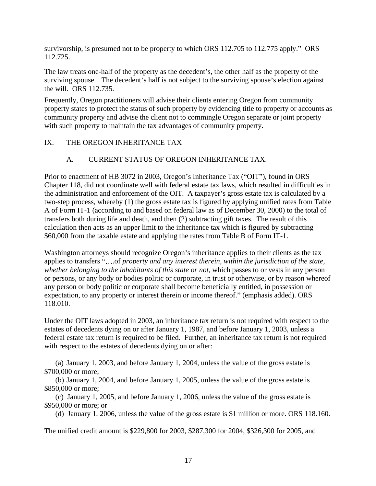survivorship, is presumed not to be property to which ORS 112.705 to 112.775 apply." ORS 112.725.

The law treats one-half of the property as the decedent's, the other half as the property of the surviving spouse. The decedent's half is not subject to the surviving spouse's election against the will. ORS 112.735.

Frequently, Oregon practitioners will advise their clients entering Oregon from community property states to protect the status of such property by evidencing title to property or accounts as community property and advise the client not to commingle Oregon separate or joint property with such property to maintain the tax advantages of community property.

#### IX. THE OREGON INHERITANCE TAX

#### A. CURRENT STATUS OF OREGON INHERITANCE TAX.

Prior to enactment of HB 3072 in 2003, Oregon's Inheritance Tax ("OIT"), found in ORS Chapter 118, did not coordinate well with federal estate tax laws, which resulted in difficulties in the administration and enforcement of the OIT. A taxpayer's gross estate tax is calculated by a two-step process, whereby (1) the gross estate tax is figured by applying unified rates from Table A of Form IT-1 (according to and based on federal law as of December 30, 2000) to the total of transfers both during life and death, and then (2) subtracting gift taxes. The result of this calculation then acts as an upper limit to the inheritance tax which is figured by subtracting \$60,000 from the taxable estate and applying the rates from Table B of Form IT-1.

Washington attorneys should recognize Oregon's inheritance applies to their clients as the tax applies to transfers "....of *property and any interest therein, within the jurisdiction of the state, whether belonging to the inhabitants of this state or not*, which passes to or vests in any person or persons, or any body or bodies politic or corporate, in trust or otherwise, or by reason whereof any person or body politic or corporate shall become beneficially entitled, in possession or expectation, to any property or interest therein or income thereof." (emphasis added). ORS 118.010.

Under the OIT laws adopted in 2003, an inheritance tax return is not required with respect to the estates of decedents dying on or after January 1, 1987, and before January 1, 2003, unless a federal estate tax return is required to be filed. Further, an inheritance tax return is not required with respect to the estates of decedents dying on or after:

(a) January 1, 2003, and before January 1, 2004, unless the value of the gross estate is \$700,000 or more;

(b) January 1, 2004, and before January 1, 2005, unless the value of the gross estate is \$850,000 or more;

(c) January 1, 2005, and before January 1, 2006, unless the value of the gross estate is \$950,000 or more; or

(d) January 1, 2006, unless the value of the gross estate is \$1 million or more. ORS 118.160.

The unified credit amount is \$229,800 for 2003, \$287,300 for 2004, \$326,300 for 2005, and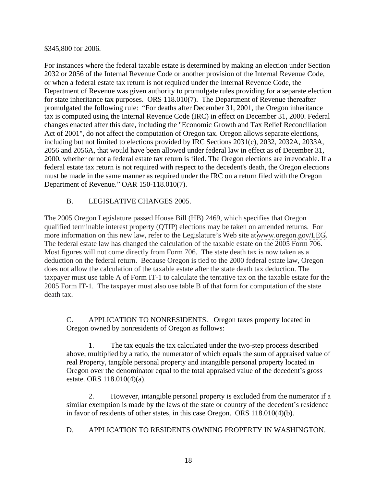\$345,800 for 2006.

For instances where the federal taxable estate is determined by making an election under Section 2032 or 2056 of the Internal Revenue Code or another provision of the Internal Revenue Code, or when a federal estate tax return is not required under the Internal Revenue Code, the Department of Revenue was given authority to promulgate rules providing for a separate election for state inheritance tax purposes. ORS 118.010(7). The Department of Revenue thereafter promulgated the following rule: "For deaths after December 31, 2001, the Oregon inheritance tax is computed using the Internal Revenue Code (IRC) in effect on December 31, 2000. Federal changes enacted after this date, including the "Economic Growth and Tax Relief Reconciliation Act of 2001", do not affect the computation of Oregon tax. Oregon allows separate elections, including but not limited to elections provided by IRC Sections 2031(c), 2032, 2032A, 2033A, 2056 and 2056A, that would have been allowed under federal law in effect as of December 31, 2000, whether or not a federal estate tax return is filed. The Oregon elections are irrevocable. If a federal estate tax return is not required with respect to the decedent's death, the Oregon elections must be made in the same manner as required under the IRC on a return filed with the Oregon Department of Revenue." OAR 150-118.010(7).

#### B. LEGISLATIVE CHANGES 2005.

The 2005 Oregon Legislature passed House Bill (HB) 2469, which specifies that Oregon qualified terminable interest property (QTIP) elections may be taken on amended returns. For more information on this new law, refer to the Legislature's Web site at [www.oregon.gov/LEG](http://www.oregon.gov/LEG).<br>The federal estate law has changed the calculation of the taxable estate on the 2005 Form 706. Most figures will not come directly from Form 706. The state death tax is now taken as a deduction on the federal return. Because Oregon is tied to the 2000 federal estate law, Oregon does not allow the calculation of the taxable estate after the state death tax deduction. The taxpayer must use table A of Form IT-1 to calculate the tentative tax on the taxable estate for the 2005 Form IT-1. The taxpayer must also use table B of that form for computation of the state death tax.

C. APPLICATION TO NONRESIDENTS. Oregon taxes property located in Oregon owned by nonresidents of Oregon as follows:

1. The tax equals the tax calculated under the two-step process described above, multiplied by a ratio, the numerator of which equals the sum of appraised value of real Property, tangible personal property and intangible personal property located in Oregon over the denominator equal to the total appraised value of the decedent's gross estate. ORS 118.010(4)(a).

2. However, intangible personal property is excluded from the numerator if a similar exemption is made by the laws of the state or country of the decedent's residence in favor of residents of other states, in this case Oregon. ORS 118.010(4)(b).

D. APPLICATION TO RESIDENTS OWNING PROPERTY IN WASHINGTON.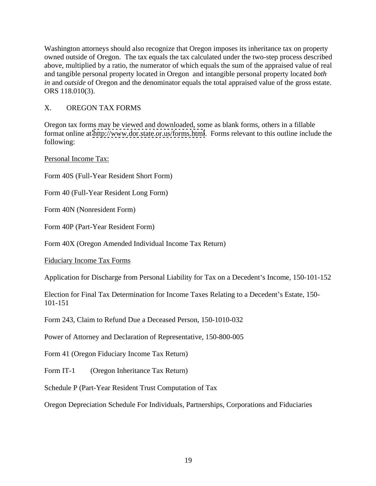Washington attorneys should also recognize that Oregon imposes its inheritance tax on property owned outside of Oregon. The tax equals the tax calculated under the two-step process described above, multiplied by a ratio, the numerator of which equals the sum of the appraised value of real and tangible personal property located in Oregon and intangible personal property located *both in* and *outside* of Oregon and the denominator equals the total appraised value of the gross estate. ORS 118.010(3).

### X. OREGON TAX FORMS

Oregon tax forms may be viewed and downloaded, some as blank forms, others in a fillable format online at<http://www.dor.state.or.us/forms.html>. Forms relevant to this outline include the following:

Personal Income Tax:

Form 40S (Full-Year Resident Short Form)

Form 40 (Full-Year Resident Long Form)

Form 40N (Nonresident Form)

Form 40P (Part-Year Resident Form)

Form 40X (Oregon Amended Individual Income Tax Return)

Fiduciary Income Tax Forms

Application for Discharge from Personal Liability for Tax on a Decedent's Income, 150-101-152

Election for Final Tax Determination for Income Taxes Relating to a Decedent's Estate, 150-101-151

Form 243, Claim to Refund Due a Deceased Person, 150-1010-032

Power of Attorney and Declaration of Representative, 150-800-005

Form 41 (Oregon Fiduciary Income Tax Return)

Form IT-1 (Oregon Inheritance Tax Return)

Schedule P (Part-Year Resident Trust Computation of Tax

Oregon Depreciation Schedule For Individuals, Partnerships, Corporations and Fiduciaries